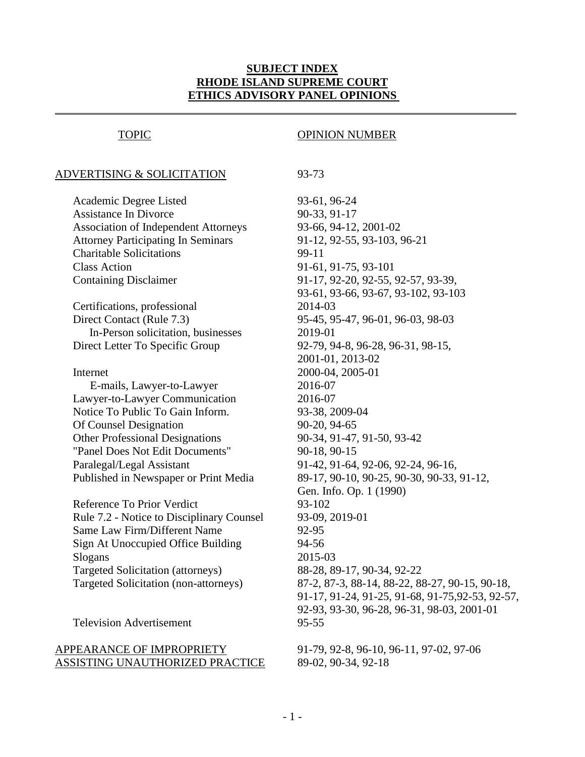## **SUBJECT INDEX RHODE ISLAND SUPREME COURT ETHICS ADVISORY PANEL OPINIONS**

 $\overline{a}$ 

### ADVERTISING & SOLICITATION 93-73

Academic Degree Listed 93-61, 96-24 Assistance In Divorce 90-33, 91-17 Association of Independent Attorneys 93-66, 94-12, 2001-02 Attorney Participating In Seminars 91-12, 92-55, 93-103, 96-21 Charitable Solicitations 99-11 Class Action 91-61, 91-75, 93-101 Containing Disclaimer 91-17, 92-20, 92-55, 92-57, 93-39,

Certifications, professional 2014-03 Direct Contact (Rule 7.3) 95-45, 95-47, 96-01, 96-03, 98-03 In-Person solicitation, businesses 2019-01 Direct Letter To Specific Group 92-79, 94-8, 96-28, 96-31, 98-15,

Internet 2000-04, 2005-01 E-mails, Lawyer-to-Lawyer 2016-07 Lawyer-to-Lawyer Communication 2016-07 Notice To Public To Gain Inform. 93-38, 2009-04 Of Counsel Designation 90-20, 94-65 Other Professional Designations 90-34, 91-47, 91-50, 93-42 "Panel Does Not Edit Documents" 90-18, 90-15 Paralegal/Legal Assistant 91-42, 91-64, 92-06, 92-24, 96-16,

Reference To Prior Verdict 93-102 Rule 7.2 - Notice to Disciplinary Counsel 93-09, 2019-01 Same Law Firm/Different Name 92-95 Sign At Unoccupied Office Building 94-56 Slogans 2015-03 Targeted Solicitation (attorneys) 88-28, 89-17, 90-34, 92-22

Television Advertisement 95-55

### APPEARANCE OF IMPROPRIETY 91-79, 92-8, 96-10, 96-11, 97-02, 97-06 ASSISTING UNAUTHORIZED PRACTICE 89-02, 90-34, 92-18

## TOPIC OPINION NUMBER

93-61, 93-66, 93-67, 93-102, 93-103 2001-01, 2013-02 Published in Newspaper or Print Media 89-17, 90-10, 90-25, 90-30, 90-33, 91-12, Gen. Info. Op. 1 (1990) Targeted Solicitation (non-attorneys) 87-2, 87-3, 88-14, 88-22, 88-27, 90-15, 90-18, 91-17, 91-24, 91-25, 91-68, 91-75,92-53, 92-57, 92-93, 93-30, 96-28, 96-31, 98-03, 2001-01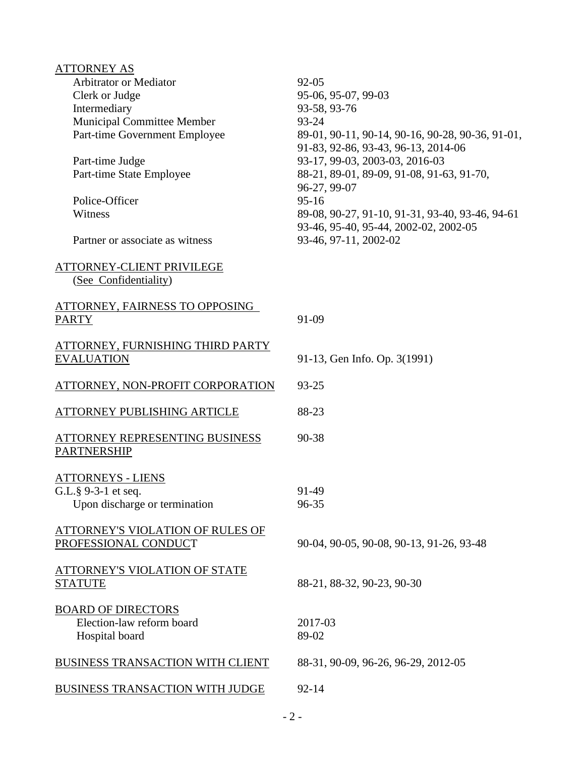| <b>ATTORNEY AS</b>                                       |                                                                                          |
|----------------------------------------------------------|------------------------------------------------------------------------------------------|
| <b>Arbitrator or Mediator</b>                            | $92 - 05$                                                                                |
| Clerk or Judge                                           | 95-06, 95-07, 99-03                                                                      |
| Intermediary                                             | 93-58, 93-76                                                                             |
| Municipal Committee Member                               | 93-24                                                                                    |
| Part-time Government Employee                            | 89-01, 90-11, 90-14, 90-16, 90-28, 90-36, 91-01,<br>91-83, 92-86, 93-43, 96-13, 2014-06  |
| Part-time Judge                                          | 93-17, 99-03, 2003-03, 2016-03                                                           |
| Part-time State Employee                                 | 88-21, 89-01, 89-09, 91-08, 91-63, 91-70,<br>96-27, 99-07                                |
| Police-Officer                                           | $95-16$                                                                                  |
| Witness                                                  | 89-08, 90-27, 91-10, 91-31, 93-40, 93-46, 94-61<br>93-46, 95-40, 95-44, 2002-02, 2002-05 |
| Partner or associate as witness                          | 93-46, 97-11, 2002-02                                                                    |
| ATTORNEY-CLIENT PRIVILEGE<br>(See Confidentiality)       |                                                                                          |
| ATTORNEY, FAIRNESS TO OPPOSING<br><b>PARTY</b>           | 91-09                                                                                    |
| ATTORNEY, FURNISHING THIRD PARTY                         |                                                                                          |
| <b>EVALUATION</b>                                        | 91-13, Gen Info. Op. 3(1991)                                                             |
| ATTORNEY, NON-PROFIT CORPORATION                         | 93-25                                                                                    |
| ATTORNEY PUBLISHING ARTICLE                              | 88-23                                                                                    |
| ATTORNEY REPRESENTING BUSINESS<br><b>PARTNERSHIP</b>     | 90-38                                                                                    |
| <b>ATTORNEYS - LIENS</b>                                 |                                                                                          |
| G.L. $\S$ 9-3-1 et seq.                                  | 91-49                                                                                    |
| Upon discharge or termination                            | 96-35                                                                                    |
| ATTORNEY'S VIOLATION OF RULES OF<br>PROFESSIONAL CONDUCT | 90-04, 90-05, 90-08, 90-13, 91-26, 93-48                                                 |
| <b>ATTORNEY'S VIOLATION OF STATE</b><br><b>STATUTE</b>   | 88-21, 88-32, 90-23, 90-30                                                               |
| <b>BOARD OF DIRECTORS</b>                                |                                                                                          |
| Election-law reform board                                | 2017-03                                                                                  |
| Hospital board                                           | 89-02                                                                                    |
| BUSINESS TRANSACTION WITH CLIENT                         | 88-31, 90-09, 96-26, 96-29, 2012-05                                                      |
| BUSINESS TRANSACTION WITH JUDGE                          | $92 - 14$                                                                                |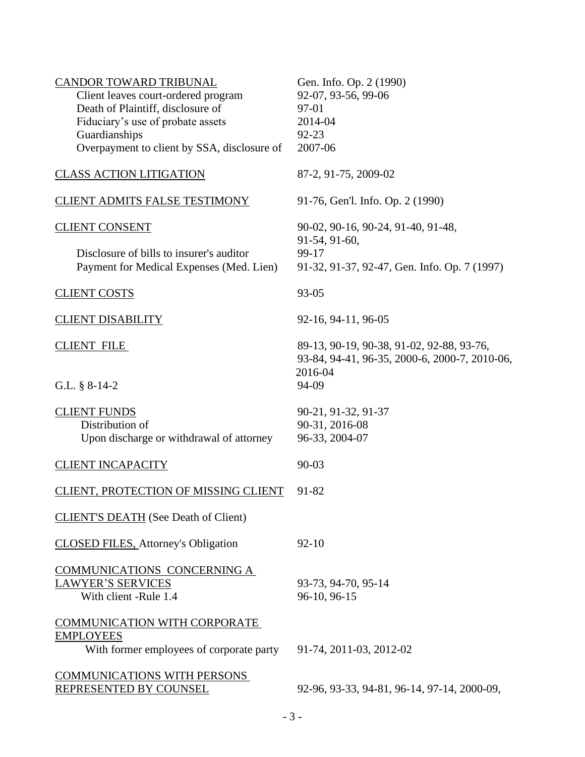| CANDOR TOWARD TRIBUNAL<br>Client leaves court-ordered program<br>Death of Plaintiff, disclosure of<br>Fiduciary's use of probate assets<br>Guardianships<br>Overpayment to client by SSA, disclosure of | Gen. Info. Op. 2 (1990)<br>92-07, 93-56, 99-06<br>97-01<br>2014-04<br>$92 - 23$<br>2007-06                     |
|---------------------------------------------------------------------------------------------------------------------------------------------------------------------------------------------------------|----------------------------------------------------------------------------------------------------------------|
| <b>CLASS ACTION LITIGATION</b>                                                                                                                                                                          | 87-2, 91-75, 2009-02                                                                                           |
| <b>CLIENT ADMITS FALSE TESTIMONY</b>                                                                                                                                                                    | 91-76, Gen'l. Info. Op. 2 (1990)                                                                               |
| <b>CLIENT CONSENT</b><br>Disclosure of bills to insurer's auditor<br>Payment for Medical Expenses (Med. Lien)                                                                                           | 90-02, 90-16, 90-24, 91-40, 91-48,<br>91-54, 91-60,<br>99-17<br>91-32, 91-37, 92-47, Gen. Info. Op. 7 (1997)   |
| <b>CLIENT COSTS</b>                                                                                                                                                                                     | 93-05                                                                                                          |
| <b>CLIENT DISABILITY</b>                                                                                                                                                                                | 92-16, 94-11, 96-05                                                                                            |
| <b>CLIENT FILE</b><br>G.L. $§ 8-14-2$                                                                                                                                                                   | 89-13, 90-19, 90-38, 91-02, 92-88, 93-76,<br>93-84, 94-41, 96-35, 2000-6, 2000-7, 2010-06,<br>2016-04<br>94-09 |
| <b>CLIENT FUNDS</b><br>Distribution of<br>Upon discharge or withdrawal of attorney                                                                                                                      | 90-21, 91-32, 91-37<br>90-31, 2016-08<br>96-33, 2004-07                                                        |
| <b>CLIENT INCAPACITY</b>                                                                                                                                                                                | 90-03                                                                                                          |
| CLIENT, PROTECTION OF MISSING CLIENT                                                                                                                                                                    | 91-82                                                                                                          |
| <b>CLIENT'S DEATH</b> (See Death of Client)                                                                                                                                                             |                                                                                                                |
| <b>CLOSED FILES, Attorney's Obligation</b>                                                                                                                                                              | $92 - 10$                                                                                                      |
| COMMUNICATIONS CONCERNING A<br>LAWYER'S SERVICES<br>With client -Rule 1.4                                                                                                                               | 93-73, 94-70, 95-14<br>96-10, 96-15                                                                            |
| <b>COMMUNICATION WITH CORPORATE</b><br><b>EMPLOYEES</b><br>With former employees of corporate party                                                                                                     | 91-74, 2011-03, 2012-02                                                                                        |
| <b>COMMUNICATIONS WITH PERSONS</b><br>REPRESENTED BY COUNSEL                                                                                                                                            | 92-96, 93-33, 94-81, 96-14, 97-14, 2000-09,                                                                    |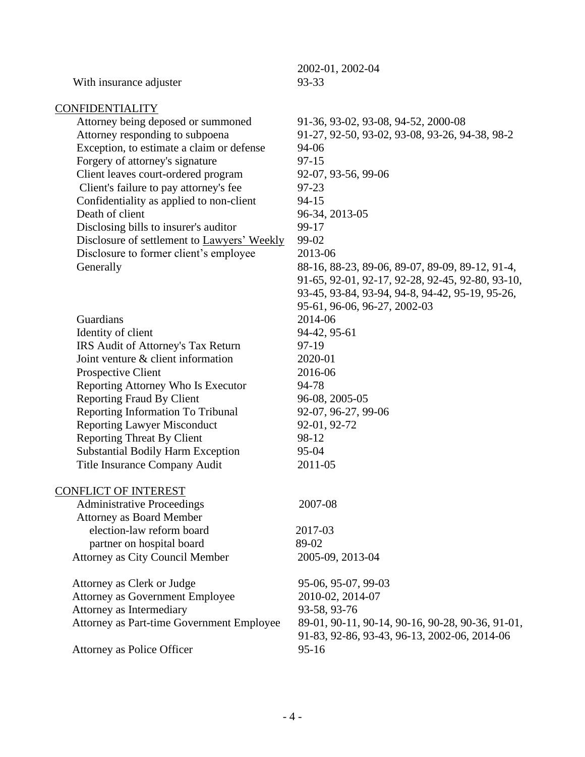| With insurance adjuster                                                                                                                                                                                                                                                                                                                                                                                                                              | 2002-01, 2002-04<br>93-33                                                                                                                                                                                                                                                                                      |
|------------------------------------------------------------------------------------------------------------------------------------------------------------------------------------------------------------------------------------------------------------------------------------------------------------------------------------------------------------------------------------------------------------------------------------------------------|----------------------------------------------------------------------------------------------------------------------------------------------------------------------------------------------------------------------------------------------------------------------------------------------------------------|
| <b>CONFIDENTIALITY</b>                                                                                                                                                                                                                                                                                                                                                                                                                               |                                                                                                                                                                                                                                                                                                                |
| Attorney being deposed or summoned<br>Attorney responding to subpoena<br>Exception, to estimate a claim or defense<br>Forgery of attorney's signature<br>Client leaves court-ordered program<br>Client's failure to pay attorney's fee<br>Confidentiality as applied to non-client<br>Death of client<br>Disclosing bills to insurer's auditor<br>Disclosure of settlement to Lawyers' Weekly<br>Disclosure to former client's employee<br>Generally | 91-36, 93-02, 93-08, 94-52, 2000-08<br>91-27, 92-50, 93-02, 93-08, 93-26, 94-38, 98-2<br>94-06<br>$97 - 15$<br>92-07, 93-56, 99-06<br>97-23<br>$94 - 15$<br>96-34, 2013-05<br>99-17<br>99-02<br>2013-06<br>88-16, 88-23, 89-06, 89-07, 89-09, 89-12, 91-4,<br>91-65, 92-01, 92-17, 92-28, 92-45, 92-80, 93-10, |
| Guardians<br>Identity of client<br>IRS Audit of Attorney's Tax Return<br>Joint venture & client information<br>Prospective Client<br>Reporting Attorney Who Is Executor<br><b>Reporting Fraud By Client</b><br>Reporting Information To Tribunal<br><b>Reporting Lawyer Misconduct</b>                                                                                                                                                               | 93-45, 93-84, 93-94, 94-8, 94-42, 95-19, 95-26,<br>95-61, 96-06, 96-27, 2002-03<br>2014-06<br>94-42, 95-61<br>97-19<br>2020-01<br>2016-06<br>94-78<br>96-08, 2005-05<br>92-07, 96-27, 99-06<br>92-01, 92-72                                                                                                    |
| <b>Reporting Threat By Client</b><br><b>Substantial Bodily Harm Exception</b>                                                                                                                                                                                                                                                                                                                                                                        | 98-12<br>95-04                                                                                                                                                                                                                                                                                                 |
| Title Insurance Company Audit                                                                                                                                                                                                                                                                                                                                                                                                                        | 2011-05                                                                                                                                                                                                                                                                                                        |
| <b>CONFLICT OF INTEREST</b>                                                                                                                                                                                                                                                                                                                                                                                                                          |                                                                                                                                                                                                                                                                                                                |
| <b>Administrative Proceedings</b><br><b>Attorney as Board Member</b>                                                                                                                                                                                                                                                                                                                                                                                 | 2007-08                                                                                                                                                                                                                                                                                                        |
| election-law reform board                                                                                                                                                                                                                                                                                                                                                                                                                            | 2017-03                                                                                                                                                                                                                                                                                                        |
| partner on hospital board                                                                                                                                                                                                                                                                                                                                                                                                                            | 89-02                                                                                                                                                                                                                                                                                                          |
| Attorney as City Council Member                                                                                                                                                                                                                                                                                                                                                                                                                      | 2005-09, 2013-04                                                                                                                                                                                                                                                                                               |
| Attorney as Clerk or Judge<br><b>Attorney as Government Employee</b><br>Attorney as Intermediary<br>Attorney as Part-time Government Employee                                                                                                                                                                                                                                                                                                        | 95-06, 95-07, 99-03<br>2010-02, 2014-07<br>93-58, 93-76<br>89-01, 90-11, 90-14, 90-16, 90-28, 90-36, 91-01,<br>91-83, 92-86, 93-43, 96-13, 2002-06, 2014-06                                                                                                                                                    |
| Attorney as Police Officer                                                                                                                                                                                                                                                                                                                                                                                                                           | $95 - 16$                                                                                                                                                                                                                                                                                                      |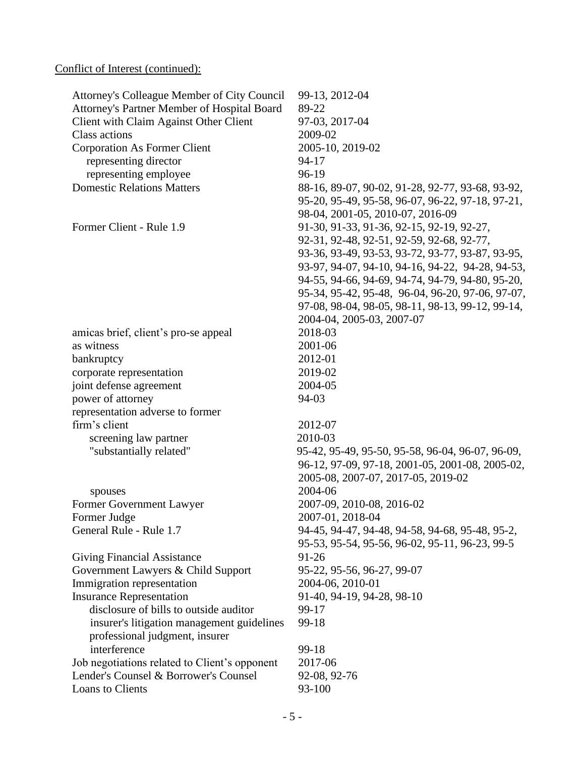# Conflict of Interest (continued):

| Attorney's Colleague Member of City Council<br>Attorney's Partner Member of Hospital Board<br>Client with Claim Against Other Client | 99-13, 2012-04<br>89-22<br>97-03, 2017-04                                                            |
|--------------------------------------------------------------------------------------------------------------------------------------|------------------------------------------------------------------------------------------------------|
| <b>Class actions</b>                                                                                                                 | 2009-02                                                                                              |
| <b>Corporation As Former Client</b>                                                                                                  | 2005-10, 2019-02                                                                                     |
| representing director                                                                                                                | $94-17$                                                                                              |
| representing employee<br><b>Domestic Relations Matters</b>                                                                           | 96-19                                                                                                |
|                                                                                                                                      | 88-16, 89-07, 90-02, 91-28, 92-77, 93-68, 93-92,<br>95-20, 95-49, 95-58, 96-07, 96-22, 97-18, 97-21, |
|                                                                                                                                      | 98-04, 2001-05, 2010-07, 2016-09                                                                     |
| Former Client - Rule 1.9                                                                                                             | 91-30, 91-33, 91-36, 92-15, 92-19, 92-27,                                                            |
|                                                                                                                                      | 92-31, 92-48, 92-51, 92-59, 92-68, 92-77,                                                            |
|                                                                                                                                      | 93-36, 93-49, 93-53, 93-72, 93-77, 93-87, 93-95,                                                     |
|                                                                                                                                      | 93-97, 94-07, 94-10, 94-16, 94-22, 94-28, 94-53,                                                     |
|                                                                                                                                      | 94-55, 94-66, 94-69, 94-74, 94-79, 94-80, 95-20,                                                     |
|                                                                                                                                      | 95-34, 95-42, 95-48, 96-04, 96-20, 97-06, 97-07,                                                     |
|                                                                                                                                      | 97-08, 98-04, 98-05, 98-11, 98-13, 99-12, 99-14,                                                     |
|                                                                                                                                      | 2004-04, 2005-03, 2007-07                                                                            |
| amicas brief, client's pro-se appeal                                                                                                 | 2018-03                                                                                              |
| as witness                                                                                                                           | 2001-06                                                                                              |
| bankruptcy                                                                                                                           | 2012-01                                                                                              |
| corporate representation                                                                                                             | 2019-02                                                                                              |
| joint defense agreement                                                                                                              | 2004-05                                                                                              |
| power of attorney                                                                                                                    | 94-03                                                                                                |
| representation adverse to former                                                                                                     |                                                                                                      |
| firm's client                                                                                                                        | 2012-07                                                                                              |
| screening law partner                                                                                                                | 2010-03                                                                                              |
| "substantially related"                                                                                                              | 95-42, 95-49, 95-50, 95-58, 96-04, 96-07, 96-09,                                                     |
|                                                                                                                                      | 96-12, 97-09, 97-18, 2001-05, 2001-08, 2005-02,<br>2005-08, 2007-07, 2017-05, 2019-02                |
|                                                                                                                                      | 2004-06                                                                                              |
| spouses<br>Former Government Lawyer                                                                                                  | 2007-09, 2010-08, 2016-02                                                                            |
| Former Judge                                                                                                                         | 2007-01, 2018-04                                                                                     |
| General Rule - Rule 1.7                                                                                                              | 94-45, 94-47, 94-48, 94-58, 94-68, 95-48, 95-2,                                                      |
|                                                                                                                                      | 95-53, 95-54, 95-56, 96-02, 95-11, 96-23, 99-5                                                       |
| <b>Giving Financial Assistance</b>                                                                                                   | 91-26                                                                                                |
| Government Lawyers & Child Support                                                                                                   | 95-22, 95-56, 96-27, 99-07                                                                           |
| Immigration representation                                                                                                           | 2004-06, 2010-01                                                                                     |
| <b>Insurance Representation</b>                                                                                                      | 91-40, 94-19, 94-28, 98-10                                                                           |
| disclosure of bills to outside auditor                                                                                               | 99-17                                                                                                |
| insurer's litigation management guidelines                                                                                           | 99-18                                                                                                |
| professional judgment, insurer                                                                                                       |                                                                                                      |
| interference                                                                                                                         | 99-18                                                                                                |
| Job negotiations related to Client's opponent                                                                                        | 2017-06                                                                                              |
| Lender's Counsel & Borrower's Counsel                                                                                                | 92-08, 92-76                                                                                         |
| Loans to Clients                                                                                                                     | 93-100                                                                                               |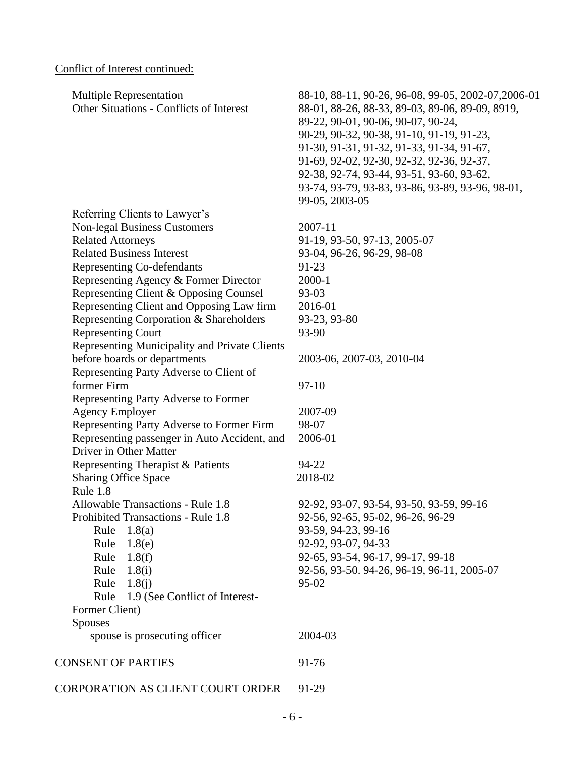# Conflict of Interest continued:

| <b>Multiple Representation</b><br><b>Other Situations - Conflicts of Interest</b> | 88-10, 88-11, 90-26, 96-08, 99-05, 2002-07, 2006-01<br>88-01, 88-26, 88-33, 89-03, 89-06, 89-09, 8919, |
|-----------------------------------------------------------------------------------|--------------------------------------------------------------------------------------------------------|
|                                                                                   | 89-22, 90-01, 90-06, 90-07, 90-24,                                                                     |
|                                                                                   | 90-29, 90-32, 90-38, 91-10, 91-19, 91-23,                                                              |
|                                                                                   | 91-30, 91-31, 91-32, 91-33, 91-34, 91-67,                                                              |
|                                                                                   | 91-69, 92-02, 92-30, 92-32, 92-36, 92-37,                                                              |
|                                                                                   | 92-38, 92-74, 93-44, 93-51, 93-60, 93-62,                                                              |
|                                                                                   | 93-74, 93-79, 93-83, 93-86, 93-89, 93-96, 98-01,                                                       |
|                                                                                   | 99-05, 2003-05                                                                                         |
| Referring Clients to Lawyer's                                                     |                                                                                                        |
| <b>Non-legal Business Customers</b>                                               | 2007-11                                                                                                |
| <b>Related Attorneys</b>                                                          | 91-19, 93-50, 97-13, 2005-07                                                                           |
| <b>Related Business Interest</b>                                                  | 93-04, 96-26, 96-29, 98-08                                                                             |
| Representing Co-defendants                                                        | 91-23                                                                                                  |
| Representing Agency & Former Director                                             | 2000-1                                                                                                 |
| Representing Client & Opposing Counsel                                            | 93-03                                                                                                  |
| Representing Client and Opposing Law firm                                         | 2016-01                                                                                                |
| Representing Corporation & Shareholders                                           | 93-23, 93-80                                                                                           |
| <b>Representing Court</b>                                                         | 93-90                                                                                                  |
| Representing Municipality and Private Clients                                     |                                                                                                        |
| before boards or departments                                                      | 2003-06, 2007-03, 2010-04                                                                              |
| Representing Party Adverse to Client of                                           |                                                                                                        |
| former Firm                                                                       | $97-10$                                                                                                |
| Representing Party Adverse to Former                                              |                                                                                                        |
| <b>Agency Employer</b>                                                            | 2007-09                                                                                                |
| Representing Party Adverse to Former Firm                                         | 98-07                                                                                                  |
| Representing passenger in Auto Accident, and                                      | 2006-01                                                                                                |
| Driver in Other Matter                                                            |                                                                                                        |
| Representing Therapist & Patients                                                 | 94-22                                                                                                  |
| <b>Sharing Office Space</b>                                                       | 2018-02                                                                                                |
| Rule 1.8                                                                          |                                                                                                        |
| Allowable Transactions - Rule 1.8                                                 | 92-92, 93-07, 93-54, 93-50, 93-59, 99-16                                                               |
| Prohibited Transactions - Rule 1.8                                                | 92-56, 92-65, 95-02, 96-26, 96-29                                                                      |
| 1.8(a)<br>Rule                                                                    | 93-59, 94-23, 99-16                                                                                    |
| Rule<br>1.8(e)                                                                    | 92-92, 93-07, 94-33                                                                                    |
| Rule<br>1.8(f)                                                                    | 92-65, 93-54, 96-17, 99-17, 99-18                                                                      |
| Rule<br>1.8(i)                                                                    | 92-56, 93-50. 94-26, 96-19, 96-11, 2005-07                                                             |
| Rule<br>1.8(i)                                                                    | $95 - 02$                                                                                              |
| Rule<br>1.9 (See Conflict of Interest-                                            |                                                                                                        |
| Former Client)                                                                    |                                                                                                        |
| Spouses                                                                           |                                                                                                        |
| spouse is prosecuting officer                                                     | 2004-03                                                                                                |
| <b>CONSENT OF PARTIES</b>                                                         | 91-76                                                                                                  |
| CORPORATION AS CLIENT COURT ORDER                                                 | 91-29                                                                                                  |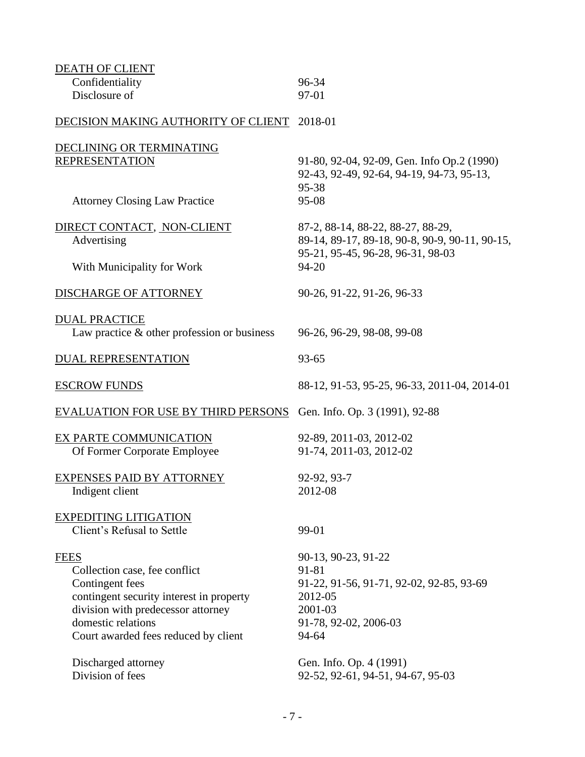| <b>DEATH OF CLIENT</b>                                                         |                                                |
|--------------------------------------------------------------------------------|------------------------------------------------|
| Confidentiality                                                                | 96-34                                          |
| Disclosure of                                                                  | 97-01                                          |
| DECISION MAKING AUTHORITY OF CLIENT                                            | 2018-01                                        |
| DECLINING OR TERMINATING                                                       |                                                |
| <b>REPRESENTATION</b>                                                          | 91-80, 92-04, 92-09, Gen. Info Op.2 (1990)     |
|                                                                                | 92-43, 92-49, 92-64, 94-19, 94-73, 95-13,      |
|                                                                                | 95-38                                          |
| <b>Attorney Closing Law Practice</b>                                           | 95-08                                          |
| DIRECT CONTACT, NON-CLIENT                                                     | 87-2, 88-14, 88-22, 88-27, 88-29,              |
| Advertising                                                                    | 89-14, 89-17, 89-18, 90-8, 90-9, 90-11, 90-15, |
|                                                                                | 95-21, 95-45, 96-28, 96-31, 98-03              |
| With Municipality for Work                                                     | 94-20                                          |
|                                                                                |                                                |
| <b>DISCHARGE OF ATTORNEY</b>                                                   | 90-26, 91-22, 91-26, 96-33                     |
| <b>DUAL PRACTICE</b>                                                           |                                                |
| Law practice $\&$ other profession or business                                 | 96-26, 96-29, 98-08, 99-08                     |
|                                                                                |                                                |
| <b>DUAL REPRESENTATION</b>                                                     | 93-65                                          |
| <b>ESCROW FUNDS</b>                                                            | 88-12, 91-53, 95-25, 96-33, 2011-04, 2014-01   |
|                                                                                |                                                |
| <b>EVALUATION FOR USE BY THIRD PERSONS</b> Gen. Info. Op. 3 (1991), 92-88      |                                                |
| EX PARTE COMMUNICATION                                                         | 92-89, 2011-03, 2012-02                        |
| Of Former Corporate Employee                                                   | 91-74, 2011-03, 2012-02                        |
|                                                                                |                                                |
| <b>EXPENSES PAID BY ATTORNEY</b>                                               | 92-92, 93-7                                    |
| Indigent client                                                                | 2012-08                                        |
| <b>EXPEDITING LITIGATION</b>                                                   |                                                |
| Client's Refusal to Settle                                                     | 99-01                                          |
|                                                                                |                                                |
| <b>FEES</b>                                                                    | 90-13, 90-23, 91-22                            |
| Collection case, fee conflict                                                  | 91-81                                          |
| Contingent fees                                                                | 91-22, 91-56, 91-71, 92-02, 92-85, 93-69       |
| contingent security interest in property<br>division with predecessor attorney | 2012-05<br>2001-03                             |
| domestic relations                                                             | 91-78, 92-02, 2006-03                          |
| Court awarded fees reduced by client                                           | 94-64                                          |
|                                                                                |                                                |
| Discharged attorney                                                            | Gen. Info. Op. 4 (1991)                        |
| Division of fees                                                               | 92-52, 92-61, 94-51, 94-67, 95-03              |
|                                                                                |                                                |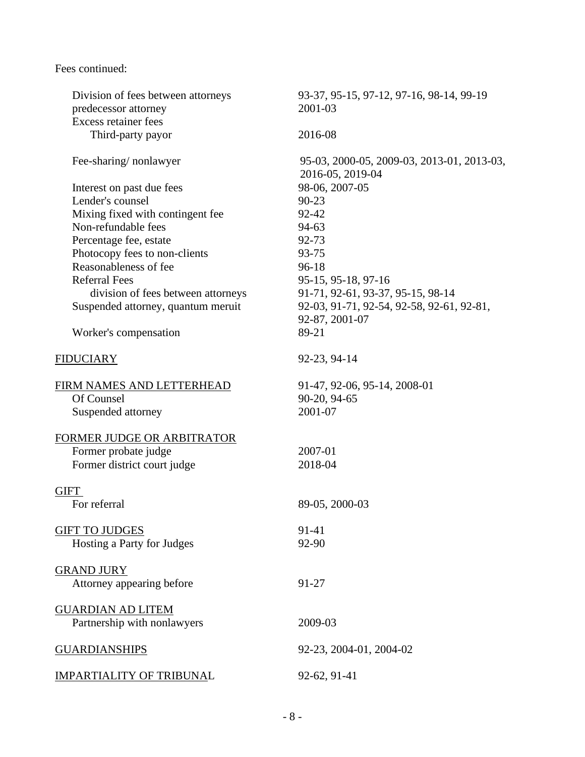Fees continued:

| Division of fees between attorneys | 93-37, 95-15, 97-12, 97-16, 98-14, 99-19                       |
|------------------------------------|----------------------------------------------------------------|
| predecessor attorney               | 2001-03                                                        |
| <b>Excess retainer fees</b>        |                                                                |
| Third-party payor                  | 2016-08                                                        |
| Fee-sharing/nonlawyer              | 95-03, 2000-05, 2009-03, 2013-01, 2013-03,<br>2016-05, 2019-04 |
| Interest on past due fees          | 98-06, 2007-05                                                 |
| Lender's counsel                   | $90 - 23$                                                      |
| Mixing fixed with contingent fee   | 92-42                                                          |
| Non-refundable fees                | 94-63                                                          |
| Percentage fee, estate             | 92-73                                                          |
| Photocopy fees to non-clients      | 93-75                                                          |
| Reasonableness of fee              | $96-18$                                                        |
| <b>Referral Fees</b>               | 95-15, 95-18, 97-16                                            |
| division of fees between attorneys | 91-71, 92-61, 93-37, 95-15, 98-14                              |
| Suspended attorney, quantum meruit | 92-03, 91-71, 92-54, 92-58, 92-61, 92-81,                      |
|                                    | 92-87, 2001-07                                                 |
| Worker's compensation              | 89-21                                                          |
| <b>FIDUCIARY</b>                   | 92-23, 94-14                                                   |
| FIRM NAMES AND LETTERHEAD          | 91-47, 92-06, 95-14, 2008-01                                   |
| Of Counsel                         | 90-20, 94-65                                                   |
| Suspended attorney                 | 2001-07                                                        |
| FORMER JUDGE OR ARBITRATOR         |                                                                |
| Former probate judge               | 2007-01                                                        |
| Former district court judge        | 2018-04                                                        |
| <b>GIFT</b>                        |                                                                |
| For referral                       | 89-05, 2000-03                                                 |
| <b>GIFT TO JUDGES</b>              | 91-41                                                          |
| Hosting a Party for Judges         | 92-90                                                          |
| <b>GRAND JURY</b>                  |                                                                |
| Attorney appearing before          | 91-27                                                          |
| <b>GUARDIAN AD LITEM</b>           |                                                                |
| Partnership with nonlawyers        | 2009-03                                                        |
| <b>GUARDIANSHIPS</b>               | 92-23, 2004-01, 2004-02                                        |
| <b>IMPARTIALITY OF TRIBUNAL</b>    | 92-62, 91-41                                                   |
|                                    |                                                                |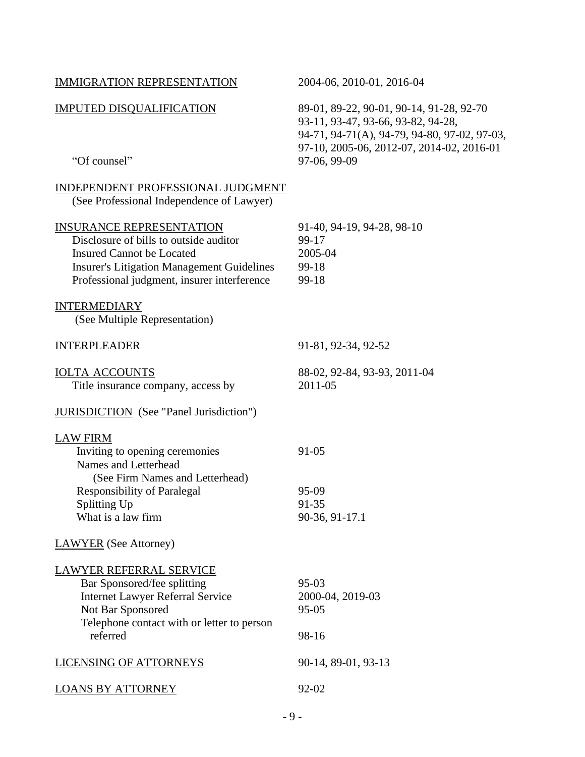| <b>IMMIGRATION REPRESENTATION</b>                                                                                                                                                                                 | 2004-06, 2010-01, 2016-04                                                                                                                                                   |
|-------------------------------------------------------------------------------------------------------------------------------------------------------------------------------------------------------------------|-----------------------------------------------------------------------------------------------------------------------------------------------------------------------------|
| <b>IMPUTED DISQUALIFICATION</b>                                                                                                                                                                                   | 89-01, 89-22, 90-01, 90-14, 91-28, 92-70<br>93-11, 93-47, 93-66, 93-82, 94-28,<br>94-71, 94-71(A), 94-79, 94-80, 97-02, 97-03,<br>97-10, 2005-06, 2012-07, 2014-02, 2016-01 |
| "Of counsel"                                                                                                                                                                                                      | 97-06, 99-09                                                                                                                                                                |
| INDEPENDENT PROFESSIONAL JUDGMENT<br>(See Professional Independence of Lawyer)                                                                                                                                    |                                                                                                                                                                             |
| <b>INSURANCE REPRESENTATION</b><br>Disclosure of bills to outside auditor<br><b>Insured Cannot be Located</b><br><b>Insurer's Litigation Management Guidelines</b><br>Professional judgment, insurer interference | 91-40, 94-19, 94-28, 98-10<br>99-17<br>2005-04<br>99-18<br>99-18                                                                                                            |
| <b>INTERMEDIARY</b><br>(See Multiple Representation)                                                                                                                                                              |                                                                                                                                                                             |
| <b>INTERPLEADER</b>                                                                                                                                                                                               | 91-81, 92-34, 92-52                                                                                                                                                         |
| <b>IOLTA ACCOUNTS</b><br>Title insurance company, access by                                                                                                                                                       | 88-02, 92-84, 93-93, 2011-04<br>2011-05                                                                                                                                     |
| <b>JURISDICTION</b> (See "Panel Jurisdiction")                                                                                                                                                                    |                                                                                                                                                                             |
| <b>LAW FIRM</b>                                                                                                                                                                                                   |                                                                                                                                                                             |
| Inviting to opening ceremonies<br>Names and Letterhead<br>(See Firm Names and Letterhead)                                                                                                                         | $91 - 05$                                                                                                                                                                   |
| <b>Responsibility of Paralegal</b>                                                                                                                                                                                | 95-09                                                                                                                                                                       |
| Splitting Up                                                                                                                                                                                                      | 91-35                                                                                                                                                                       |
| What is a law firm                                                                                                                                                                                                | 90-36, 91-17.1                                                                                                                                                              |
| <b>LAWYER</b> (See Attorney)                                                                                                                                                                                      |                                                                                                                                                                             |
| <b>LAWYER REFERRAL SERVICE</b>                                                                                                                                                                                    |                                                                                                                                                                             |
| Bar Sponsored/fee splitting                                                                                                                                                                                       | $95 - 03$                                                                                                                                                                   |
| <b>Internet Lawyer Referral Service</b>                                                                                                                                                                           | 2000-04, 2019-03                                                                                                                                                            |
| Not Bar Sponsored                                                                                                                                                                                                 | $95 - 05$                                                                                                                                                                   |
| Telephone contact with or letter to person<br>referred                                                                                                                                                            | 98-16                                                                                                                                                                       |
| <b>LICENSING OF ATTORNEYS</b>                                                                                                                                                                                     | 90-14, 89-01, 93-13                                                                                                                                                         |
| <b>LOANS BY ATTORNEY</b>                                                                                                                                                                                          | 92-02                                                                                                                                                                       |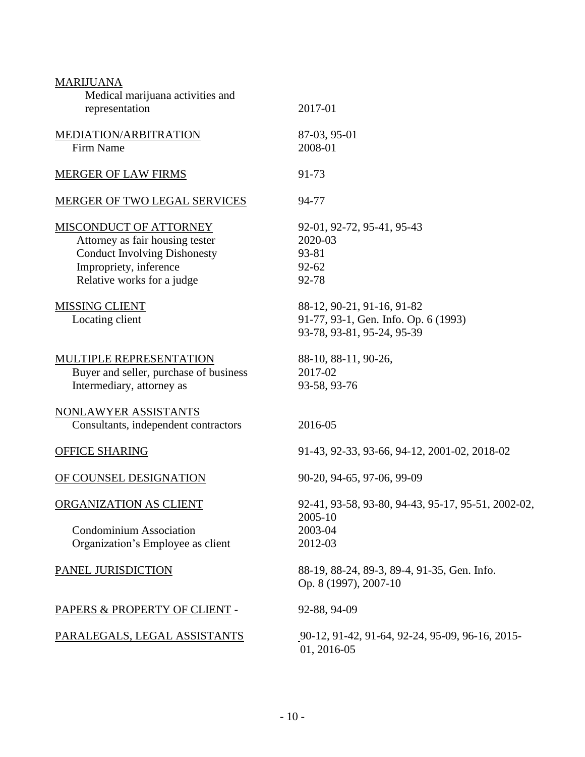| <b>MARIJUANA</b><br>Medical marijuana activities and<br>representation                                                                                   | 2017-01                                                                                          |
|----------------------------------------------------------------------------------------------------------------------------------------------------------|--------------------------------------------------------------------------------------------------|
| MEDIATION/ARBITRATION<br>Firm Name                                                                                                                       | 87-03, 95-01<br>2008-01                                                                          |
| <b>MERGER OF LAW FIRMS</b>                                                                                                                               | 91-73                                                                                            |
| <b>MERGER OF TWO LEGAL SERVICES</b>                                                                                                                      | 94-77                                                                                            |
| MISCONDUCT OF ATTORNEY<br>Attorney as fair housing tester<br><b>Conduct Involving Dishonesty</b><br>Impropriety, inference<br>Relative works for a judge | 92-01, 92-72, 95-41, 95-43<br>2020-03<br>93-81<br>$92 - 62$<br>92-78                             |
| <b>MISSING CLIENT</b><br>Locating client                                                                                                                 | 88-12, 90-21, 91-16, 91-82<br>91-77, 93-1, Gen. Info. Op. 6 (1993)<br>93-78, 93-81, 95-24, 95-39 |
| MULTIPLE REPRESENTATION<br>Buyer and seller, purchase of business<br>Intermediary, attorney as                                                           | 88-10, 88-11, 90-26,<br>2017-02<br>93-58, 93-76                                                  |
| NONLAWYER ASSISTANTS<br>Consultants, independent contractors                                                                                             | 2016-05                                                                                          |
| <b>OFFICE SHARING</b>                                                                                                                                    | 91-43, 92-33, 93-66, 94-12, 2001-02, 2018-02                                                     |
| OF COUNSEL DESIGNATION                                                                                                                                   | 90-20, 94-65, 97-06, 99-09                                                                       |
| ORGANIZATION AS CLIENT<br><b>Condominium Association</b><br>Organization's Employee as client                                                            | 92-41, 93-58, 93-80, 94-43, 95-17, 95-51, 2002-02,<br>2005-10<br>2003-04<br>2012-03              |
| PANEL JURISDICTION                                                                                                                                       | 88-19, 88-24, 89-3, 89-4, 91-35, Gen. Info.<br>Op. 8 (1997), 2007-10                             |
| PAPERS & PROPERTY OF CLIENT -                                                                                                                            | 92-88, 94-09                                                                                     |
| PARALEGALS, LEGAL ASSISTANTS                                                                                                                             | 90-12, 91-42, 91-64, 92-24, 95-09, 96-16, 2015-<br>01, 2016-05                                   |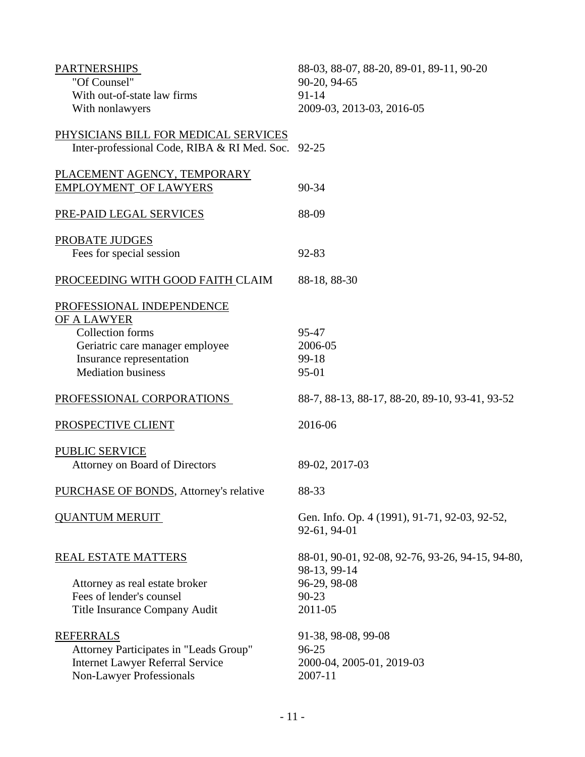| <b>PARTNERSHIPS</b>                          | 88-03, 88-07, 88-20, 89-01, 89-11, 90-20                         |
|----------------------------------------------|------------------------------------------------------------------|
| "Of Counsel"                                 | 90-20, 94-65                                                     |
| With out-of-state law firms                  | $91 - 14$                                                        |
| With nonlawyers                              | 2009-03, 2013-03, 2016-05                                        |
| PHYSICIANS BILL FOR MEDICAL SERVICES         |                                                                  |
| Inter-professional Code, RIBA & RI Med. Soc. | 92-25                                                            |
| PLACEMENT AGENCY, TEMPORARY                  |                                                                  |
| <b>EMPLOYMENT_OF LAWYERS</b>                 | 90-34                                                            |
| PRE-PAID LEGAL SERVICES                      | 88-09                                                            |
| PROBATE JUDGES                               |                                                                  |
| Fees for special session                     | 92-83                                                            |
| PROCEEDING WITH GOOD FAITH CLAIM             | 88-18, 88-30                                                     |
| PROFESSIONAL INDEPENDENCE                    |                                                                  |
| OF A LAWYER                                  |                                                                  |
| Collection forms                             | 95-47                                                            |
| Geriatric care manager employee              | 2006-05                                                          |
| Insurance representation                     | 99-18                                                            |
| <b>Mediation business</b>                    | 95-01                                                            |
| PROFESSIONAL CORPORATIONS                    | 88-7, 88-13, 88-17, 88-20, 89-10, 93-41, 93-52                   |
| PROSPECTIVE CLIENT                           | 2016-06                                                          |
| <b>PUBLIC SERVICE</b>                        |                                                                  |
| Attorney on Board of Directors               | 89-02, 2017-03                                                   |
| PURCHASE OF BONDS, Attorney's relative       | 88-33                                                            |
| <b>QUANTUM MERUIT</b>                        | Gen. Info. Op. 4 (1991), 91-71, 92-03, 92-52,<br>92-61, 94-01    |
| <b>REAL ESTATE MATTERS</b>                   | 88-01, 90-01, 92-08, 92-76, 93-26, 94-15, 94-80,<br>98-13, 99-14 |
| Attorney as real estate broker               | 96-29, 98-08                                                     |
| Fees of lender's counsel                     | 90-23                                                            |
|                                              | 2011-05                                                          |
| Title Insurance Company Audit                |                                                                  |
| <b>REFERRALS</b>                             | 91-38, 98-08, 99-08                                              |
| Attorney Participates in "Leads Group"       | 96-25                                                            |
| <b>Internet Lawyer Referral Service</b>      | 2000-04, 2005-01, 2019-03                                        |
| <b>Non-Lawyer Professionals</b>              | 2007-11                                                          |
|                                              |                                                                  |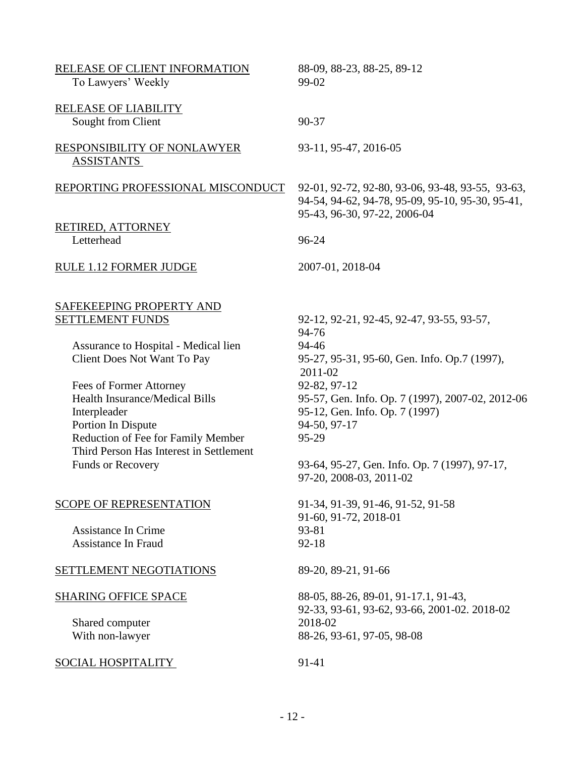| RELEASE OF CLIENT INFORMATION<br>To Lawyers' Weekly                                                                                                                                     | 88-09, 88-23, 88-25, 89-12<br>99-02                                                                                                  |
|-----------------------------------------------------------------------------------------------------------------------------------------------------------------------------------------|--------------------------------------------------------------------------------------------------------------------------------------|
| <b>RELEASE OF LIABILITY</b><br>Sought from Client                                                                                                                                       | 90-37                                                                                                                                |
| RESPONSIBILITY OF NONLAWYER<br><b>ASSISTANTS</b>                                                                                                                                        | 93-11, 95-47, 2016-05                                                                                                                |
| REPORTING PROFESSIONAL MISCONDUCT                                                                                                                                                       | 92-01, 92-72, 92-80, 93-06, 93-48, 93-55, 93-63,<br>94-54, 94-62, 94-78, 95-09, 95-10, 95-30, 95-41,<br>95-43, 96-30, 97-22, 2006-04 |
| RETIRED, ATTORNEY<br>Letterhead                                                                                                                                                         | 96-24                                                                                                                                |
| RULE 1.12 FORMER JUDGE                                                                                                                                                                  | 2007-01, 2018-04                                                                                                                     |
| SAFEKEEPING PROPERTY AND<br><b>SETTLEMENT FUNDS</b>                                                                                                                                     | 92-12, 92-21, 92-45, 92-47, 93-55, 93-57,<br>94-76                                                                                   |
| Assurance to Hospital - Medical lien<br><b>Client Does Not Want To Pay</b>                                                                                                              | 94-46<br>95-27, 95-31, 95-60, Gen. Info. Op.7 (1997),<br>2011-02                                                                     |
| Fees of Former Attorney<br><b>Health Insurance/Medical Bills</b><br>Interpleader<br>Portion In Dispute<br>Reduction of Fee for Family Member<br>Third Person Has Interest in Settlement | 92-82, 97-12<br>95-57, Gen. Info. Op. 7 (1997), 2007-02, 2012-06<br>95-12, Gen. Info. Op. 7 (1997)<br>94-50, 97-17<br>95-29          |
| <b>Funds or Recovery</b>                                                                                                                                                                | 93-64, 95-27, Gen. Info. Op. 7 (1997), 97-17,<br>97-20, 2008-03, 2011-02                                                             |
| <b>SCOPE OF REPRESENTATION</b><br><b>Assistance In Crime</b><br><b>Assistance In Fraud</b>                                                                                              | 91-34, 91-39, 91-46, 91-52, 91-58<br>91-60, 91-72, 2018-01<br>93-81<br>$92 - 18$                                                     |
| SETTLEMENT NEGOTIATIONS                                                                                                                                                                 | 89-20, 89-21, 91-66                                                                                                                  |
| <b>SHARING OFFICE SPACE</b><br>Shared computer<br>With non-lawyer                                                                                                                       | 88-05, 88-26, 89-01, 91-17.1, 91-43,<br>92-33, 93-61, 93-62, 93-66, 2001-02. 2018-02<br>2018-02<br>88-26, 93-61, 97-05, 98-08        |
| SOCIAL HOSPITALITY                                                                                                                                                                      | 91-41                                                                                                                                |
|                                                                                                                                                                                         |                                                                                                                                      |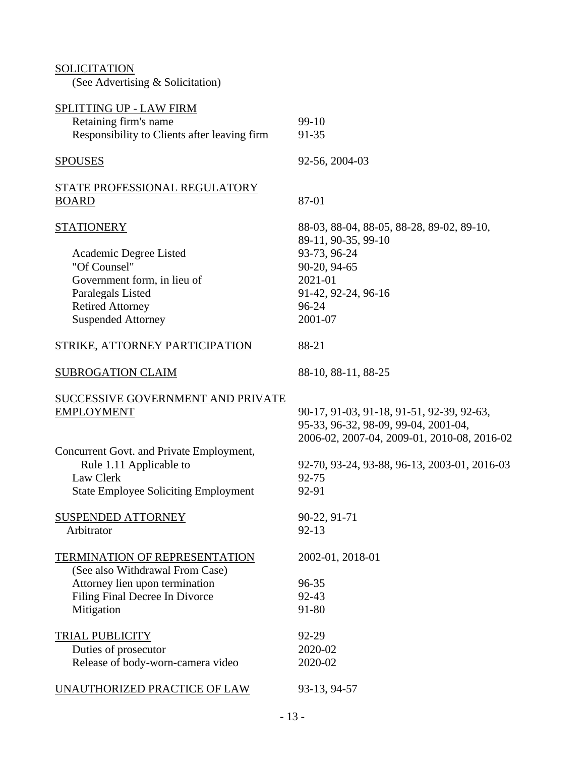**SOLICITATION** (See Advertising & Solicitation) SPLITTING UP - LAW FIRM Retaining firm's name 99-10 Responsibility to Clients after leaving firm 91-35 SPOUSES 92-56, 2004-03 STATE PROFESSIONAL REGULATORY BOARD 87-01 STATIONERY 88-03, 88-04, 88-05, 88-28, 89-02, 89-10, 89-11, 90-35, 99-10 Academic Degree Listed 93-73, 96-24 "Of Counsel" 90-20, 94-65 Government form, in lieu of 2021-01 Paralegals Listed 91-42, 92-24, 96-16 Retired Attorney 96-24 Suspended Attorney 2001-07 STRIKE, ATTORNEY PARTICIPATION 88-21 SUBROGATION CLAIM 88-10, 88-11, 88-25 SUCCESSIVE GOVERNMENT AND PRIVATE EMPLOYMENT 90-17, 91-03, 91-18, 91-51, 92-39, 92-63, 95-33, 96-32, 98-09, 99-04, 2001-04, 2006-02, 2007-04, 2009-01, 2010-08, 2016-02 Concurrent Govt. and Private Employment, Rule 1.11 Applicable to 92-70, 93-24, 93-88, 96-13, 2003-01, 2016-03 Law Clerk 92-75 State Employee Soliciting Employment 92-91 SUSPENDED ATTORNEY 90-22, 91-71 Arbitrator 92-13 TERMINATION OF REPRESENTATION 2002-01, 2018-01 (See also Withdrawal From Case) Attorney lien upon termination 96-35 Filing Final Decree In Divorce 92-43 Mitigation 91-80 TRIAL PUBLICITY 92-29 Duties of prosecutor 2020-02 Release of body-worn-camera video 2020-02 UNAUTHORIZED PRACTICE OF LAW 93-13, 94-57